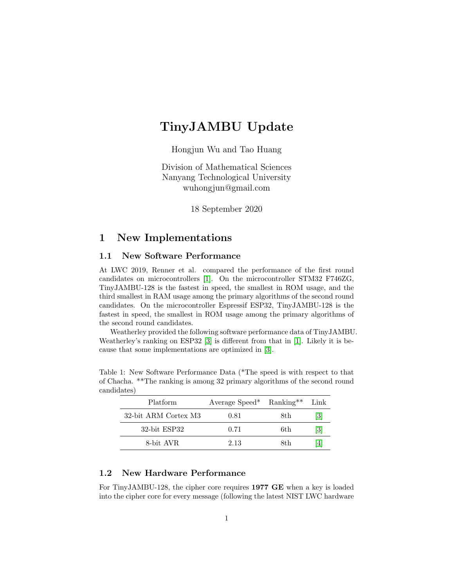# TinyJAMBU Update

Hongjun Wu and Tao Huang

Division of Mathematical Sciences Nanyang Technological University [wuhongjun@gmail.com](mailto:wuhongjun@gmail.com)

18 September 2020

### 1 New Implementations

#### 1.1 New Software Performance

At LWC 2019, Renner et al. compared the performance of the first round candidates on microcontrollers [\[1\]](#page-2-0). On the microcontroller STM32 F746ZG, TinyJAMBU-128 is the fastest in speed, the smallest in ROM usage, and the third smallest in RAM usage among the primary algorithms of the second round candidates. On the microcontroller Espressif ESP32, TinyJAMBU-128 is the fastest in speed, the smallest in ROM usage among the primary algorithms of the second round candidates.

Weatherley provided the following software performance data of TinyJAMBU. Weatherley's ranking on ESP32 [\[3\]](#page-3-0) is different from that in [\[1\]](#page-2-0). Likely it is because that some implementations are optimized in [\[3\]](#page-3-0).

| <b>Platform</b>      | Average Speed* Ranking** |      | Link |
|----------------------|--------------------------|------|------|
| 32-bit ARM Cortex M3 | 0.81                     | 8th. | [3]  |
| 32-bit ESP32         | 0.71                     | 6th  | [3]  |
| 8-bit AVR            | 2.13                     | 8th. | ا41  |

Table 1: New Software Performance Data (\*The speed is with respect to that of Chacha. \*\*The ranking is among 32 primary algorithms of the second round candidates)

#### 1.2 New Hardware Performance

For TinyJAMBU-128, the cipher core requires 1977 GE when a key is loaded into the cipher core for every message (following the latest NIST LWC hardware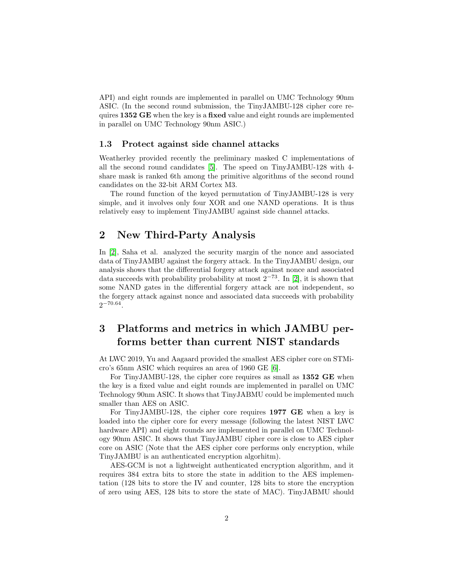API) and eight rounds are implemented in parallel on UMC Technology 90nm ASIC. (In the second round submission, the TinyJAMBU-128 cipher core requires 1352 GE when the key is a fixed value and eight rounds are implemented in parallel on UMC Technology 90nm ASIC.)

#### 1.3 Protect against side channel attacks

Weatherley provided recently the preliminary masked C implementations of all the second round candidates [\[5\]](#page-3-2). The speed on TinyJAMBU-128 with 4 share mask is ranked 6th among the primitive algorithms of the second round candidates on the 32-bit ARM Cortex M3.

The round function of the keyed permutation of TinyJAMBU-128 is very simple, and it involves only four XOR and one NAND operations. It is thus relatively easy to implement TinyJAMBU against side channel attacks.

#### 2 New Third-Party Analysis

In [\[2\]](#page-2-1), Saha et al. analyzed the security margin of the nonce and associated data of TinyJAMBU against the forgery attack. In the TinyJAMBU design, our analysis shows that the differential forgery attack against nonce and associated data succeeds with probability probability at most  $2^{-73}$ . In [\[2\]](#page-2-1), it is shown that some NAND gates in the differential forgery attack are not independent, so the forgery attack against nonce and associated data succeeds with probability  $2^{-70.64}$ .

### 3 Platforms and metrics in which JAMBU performs better than current NIST standards

At LWC 2019, Yu and Aagaard provided the smallest AES cipher core on STMicro's 65nm ASIC which requires an area of 1960 GE [\[6\]](#page-3-3).

For TinyJAMBU-128, the cipher core requires as small as 1352 GE when the key is a fixed value and eight rounds are implemented in parallel on UMC Technology 90nm ASIC. It shows that TinyJABMU could be implemented much smaller than AES on ASIC.

For TinyJAMBU-128, the cipher core requires 1977 GE when a key is loaded into the cipher core for every message (following the latest NIST LWC hardware API) and eight rounds are implemented in parallel on UMC Technology 90nm ASIC. It shows that TinyJAMBU cipher core is close to AES cipher core on ASIC (Note that the AES cipher core performs only encryption, while TinyJAMBU is an authenticated encryption algorhitm).

AES-GCM is not a lightweight authenticated encryption algorithm, and it requires 384 extra bits to store the state in addition to the AES implementation (128 bits to store the IV and counter, 128 bits to store the encryption of zero using AES, 128 bits to store the state of MAC). TinyJABMU should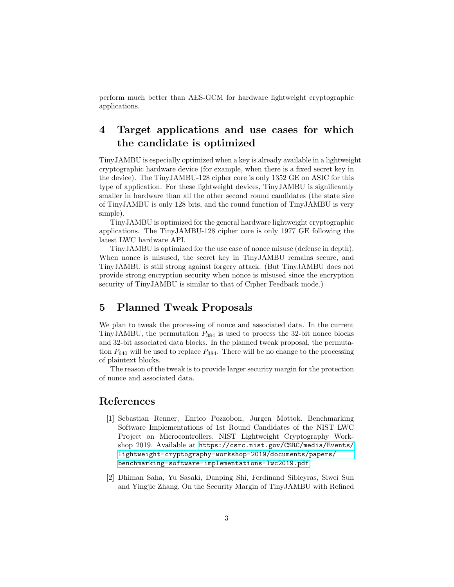perform much better than AES-GCM for hardware lightweight cryptographic applications.

## 4 Target applications and use cases for which the candidate is optimized

TinyJAMBU is especially optimized when a key is already available in a lightweight cryptographic hardware device (for example, when there is a fixed secret key in the device). The TinyJAMBU-128 cipher core is only 1352 GE on ASIC for this type of application. For these lightweight devices, TinyJAMBU is significantly smaller in hardware than all the other second round candidates (the state size of TinyJAMBU is only 128 bits, and the round function of TinyJAMBU is very simple).

TinyJAMBU is optimized for the general hardware lightweight cryptographic applications. The TinyJAMBU-128 cipher core is only 1977 GE following the latest LWC hardware API.

TinyJAMBU is optimized for the use case of nonce misuse (defense in depth). When nonce is misused, the secret key in TinyJAMBU remains secure, and TinyJAMBU is still strong against forgery attack. (But TinyJAMBU does not provide strong encryption security when nonce is misused since the encryption security of TinyJAMBU is similar to that of Cipher Feedback mode.)

#### 5 Planned Tweak Proposals

We plan to tweak the processing of nonce and associated data. In the current TinyJAMBU, the permutation  $P_{384}$  is used to process the 32-bit nonce blocks and 32-bit associated data blocks. In the planned tweak proposal, the permutation  $P_{640}$  will be used to replace  $P_{384}$ . There will be no change to the processing of plaintext blocks.

The reason of the tweak is to provide larger security margin for the protection of nonce and associated data.

### References

- <span id="page-2-0"></span>[1] Sebastian Renner, Enrico Pozzobon, Jurgen Mottok. Benchmarking Software Implementations of 1st Round Candidates of the NIST LWC Project on Microcontrollers. NIST Lightweight Cryptography Workshop 2019. Available at [https://csrc.nist.gov/CSRC/media/Events/](https://csrc.nist.gov/CSRC/media/Events/lightweight-cryptography-workshop-2019/documents/papers/benchmarking-software-implementations-lwc2019.pdf) [lightweight-cryptography-workshop-2019/documents/papers/](https://csrc.nist.gov/CSRC/media/Events/lightweight-cryptography-workshop-2019/documents/papers/benchmarking-software-implementations-lwc2019.pdf) [benchmarking-software-implementations-lwc2019.pdf](https://csrc.nist.gov/CSRC/media/Events/lightweight-cryptography-workshop-2019/documents/papers/benchmarking-software-implementations-lwc2019.pdf)
- <span id="page-2-1"></span>[2] Dhiman Saha, Yu Sasaki, Danping Shi, Ferdinand Sibleyras, Siwei Sun and Yingjie Zhang. On the Security Margin of TinyJAMBU with Refined